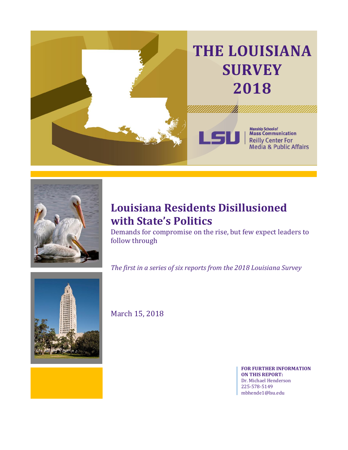



## **Louisiana Residents Disillusioned with State's Politics**

Demands for compromise on the rise, but few expect leaders to follow through

*The first in a series of six reports from the 2018 Louisiana Survey* 



March 15, 2018

**FOR FURTHER INFORMATION ON THIS REPORT:** Dr. Michael Henderson 225-578-5149 mbhende1@lsu.edu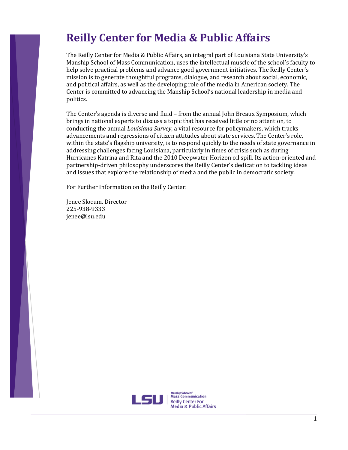## **Reilly Center for Media & Public Affairs**

The Reilly Center for Media & Public Affairs, an integral part of Louisiana State University's Manship School of Mass Communication, uses the intellectual muscle of the school's faculty to help solve practical problems and advance good government initiatives. The Reilly Center's mission is to generate thoughtful programs, dialogue, and research about social, economic, and political affairs, as well as the developing role of the media in American society. The Center is committed to advancing the Manship School's national leadership in media and politics.

The Center's agenda is diverse and fluid – from the annual John Breaux Symposium, which brings in national experts to discuss a topic that has received little or no attention, to conducting the annual *Louisiana Survey*, a vital resource for policymakers, which tracks advancements and regressions of citizen attitudes about state services. The Center's role, within the state's flagship university, is to respond quickly to the needs of state governance in addressing challenges facing Louisiana, particularly in times of crisis such as during Hurricanes Katrina and Rita and the 2010 Deepwater Horizon oil spill. Its action-oriented and partnership-driven philosophy underscores the Reilly Center's dedication to tackling ideas and issues that explore the relationship of media and the public in democratic society.

For Further Information on the Reilly Center:

Jenee Slocum, Director 225-938-9333 jenee@lsu.edu

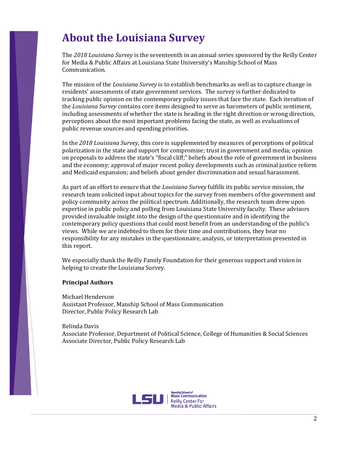## **About the Louisiana Survey**

The *2018 Louisiana Survey* is the seventeenth in an annual series sponsored by the Reilly Center for Media & Public Affairs at Louisiana State University's Manship School of Mass Communication.

The mission of the *Louisiana Survey* is to establish benchmarks as well as to capture change in residents' assessments of state government services. The survey is further dedicated to tracking public opinion on the contemporary policy issues that face the state. Each iteration of the *Louisiana Survey* contains core items designed to serve as barometers of public sentiment, including assessments of whether the state is heading in the right direction or wrong direction, perceptions about the most important problems facing the state, as well as evaluations of public revenue sources and spending priorities.

In the *2018 Louisiana Survey*, this core is supplemented by measures of perceptions of political polarization in the state and support for compromise; trust in government and media; opinion on proposals to address the state's "fiscal cliff;" beliefs about the role of government in business and the economy; approval of major recent policy developments such as criminal justice reform and Medicaid expansion; and beliefs about gender discrimination and sexual harassment.

As part of an effort to ensure that the *Louisiana Survey* fulfills its public service mission, the research team solicited input about topics for the survey from members of the government and policy community across the political spectrum. Additionally, the research team drew upon expertise in public policy and polling from Louisiana State University faculty. These advisors provided invaluable insight into the design of the questionnaire and in identifying the contemporary policy questions that could most benefit from an understanding of the public's views. While we are indebted to them for their time and contributions, they bear no responsibility for any mistakes in the questionnaire, analysis, or interpretation presented in this report.

We especially thank the Reilly Family Foundation for their generous support and vision in helping to create the Louisiana Survey.

#### **Principal Authors**

Michael Henderson Assistant Professor, Manship School of Mass Communication Director, Public Policy Research Lab

Belinda Davis

Associate Professor, Department of Political Science, College of Humanities & Social Sciences Associate Director, Public Policy Research Lab

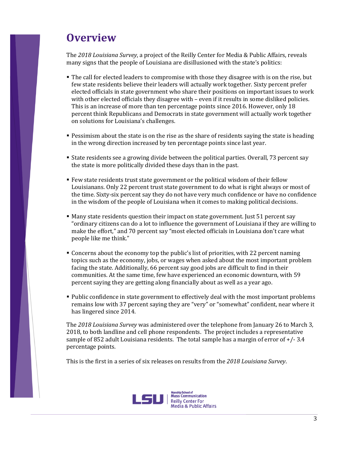## **Overview**

The *2018 Louisiana Survey*, a project of the Reilly Center for Media & Public Affairs, reveals many signs that the people of Louisiana are disillusioned with the state's politics:

- The call for elected leaders to compromise with those they disagree with is on the rise, but few state residents believe their leaders will actually work together. Sixty percent prefer elected officials in state government who share their positions on important issues to work with other elected officials they disagree with – even if it results in some disliked policies. This is an increase of more than ten percentage points since 2016. However, only 18 percent think Republicans and Democrats in state government will actually work together on solutions for Louisiana's challenges.
- **Pessimism about the state is on the rise as the share of residents saying the state is heading** in the wrong direction increased by ten percentage points since last year.
- State residents see a growing divide between the political parties. Overall, 73 percent say the state is more politically divided these days than in the past.
- Few state residents trust state government or the political wisdom of their fellow Louisianans. Only 22 percent trust state government to do what is right always or most of the time. Sixty-six percent say they do not have very much confidence or have no confidence in the wisdom of the people of Louisiana when it comes to making political decisions.
- Many state residents question their impact on state government. Just 51 percent say "ordinary citizens can do a lot to influence the government of Louisiana if they are willing to make the effort," and 70 percent say "most elected officials in Louisiana don't care what people like me think."
- Concerns about the economy top the public's list of priorities, with 22 percent naming topics such as the economy, jobs, or wages when asked about the most important problem facing the state. Additionally, 66 percent say good jobs are difficult to find in their communities. At the same time, few have experienced an economic downturn, with 59 percent saying they are getting along financially about as well as a year ago.
- Public confidence in state government to effectively deal with the most important problems remains low with 37 percent saying they are "very" or "somewhat" confident, near where it has lingered since 2014.

The *2018 Louisiana Survey* was administered over the telephone from January 26 to March 3, 2018, to both landline and cell phone respondents. The project includes a representative sample of 852 adult Louisiana residents. The total sample has a margin of error of  $+/-3.4$ percentage points.

This is the first in a series of six releases on results from the *2018 Louisiana Survey*.

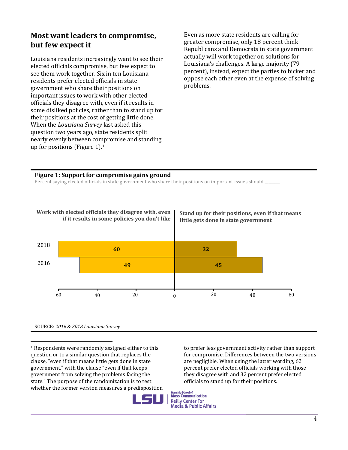## **Most want leaders to compromise, but few expect it**

Louisiana residents increasingly want to see their elected officials compromise, but few expect to see them work together. Six in ten Louisiana residents prefer elected officials in state government who share their positions on important issues to work with other elected officials they disagree with, even if it results in some disliked policies, rather than to stand up for their positions at the cost of getting little done. When the *Louisiana Survey* last asked this question two years ago, state residents split nearly evenly between compromise and standing up for positions (Figure 1).<sup>1</sup>

Even as more state residents are calling for greater compromise, only 18 percent think Republicans and Democrats in state government actually will work together on solutions for Louisiana's challenges. A large majority (79 percent), instead, expect the parties to bicker and oppose each other even at the expense of solving problems.

#### **Figure 1: Support for compromise gains ground**

Percent saying elected officials in state government who share their positions on important issues should \_\_\_\_\_\_



SOURCE: *2016* & *2018 Louisiana Survey*

 $\overline{\phantom{0}}$ <sup>1</sup> Respondents were randomly assigned either to this question or to a similar question that replaces the clause, "even if that means little gets done in state government," with the clause "even if that keeps government from solving the problems facing the state." The purpose of the randomization is to test whether the former version measures a predisposition

to prefer less government activity rather than support for compromise. Differences between the two versions are negligible. When using the latter wording, 62 percent prefer elected officials working with those they disagree with and 32 percent prefer elected officials to stand up for their positions.

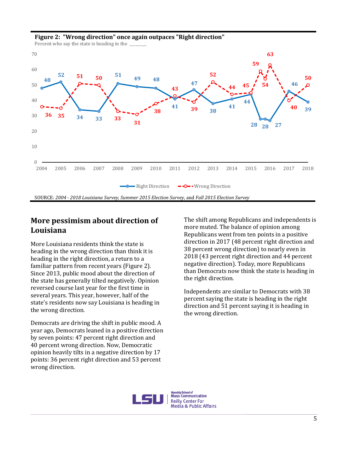

#### **Figure 2: "Wrong direction" once again outpaces "Right direction"**

### **More pessimism about direction of Louisiana**

More Louisiana residents think the state is heading in the wrong direction than think it is heading in the right direction, a return to a familiar pattern from recent years (Figure 2). Since 2013, public mood about the direction of the state has generally tilted negatively. Opinion reversed course last year for the first time in several years. This year, however, half of the state's residents now say Louisiana is heading in the wrong direction.

Democrats are driving the shift in public mood. A year ago, Democrats leaned in a positive direction by seven points: 47 percent right direction and 40 percent wrong direction. Now, Democratic opinion heavily tilts in a negative direction by 17 points: 36 percent right direction and 53 percent wrong direction.

The shift among Republicans and independents is more muted. The balance of opinion among Republicans went from ten points in a positive direction in 2017 (48 percent right direction and 38 percent wrong direction) to nearly even in 2018 (43 percent right direction and 44 percent negative direction). Today, more Republicans than Democrats now think the state is heading in the right direction.

Independents are similar to Democrats with 38 percent saying the state is heading in the right direction and 51 percent saying it is heading in the wrong direction.

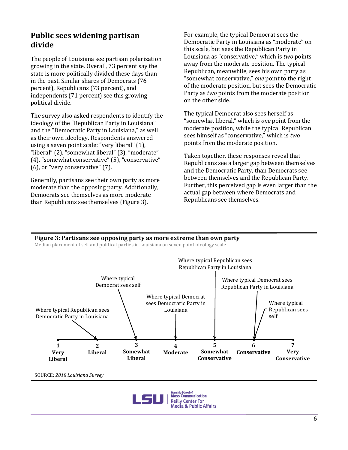## **Public sees widening partisan divide**

The people of Louisiana see partisan polarization growing in the state. Overall, 73 percent say the state is more politically divided these days than in the past. Similar shares of Democrats (76 percent), Republicans (73 percent), and independents (71 percent) see this growing political divide.

The survey also asked respondents to identify the ideology of the "Republican Party in Louisiana" and the "Democratic Party in Louisiana," as well as their own ideology. Respondents answered using a seven point scale: "very liberal" (1), "liberal" (2), "somewhat liberal" (3), "moderate" (4), "somewhat conservative" (5), "conservative" (6), or "very conservative" (7).

Generally, partisans see their own party as more moderate than the opposing party. Additionally, Democrats see themselves as more moderate than Republicans see themselves (Figure 3).

For example, the typical Democrat sees the Democratic Party in Louisiana as "moderate" on this scale, but sees the Republican Party in Louisiana as "conservative," which is *two* points away from the moderate position. The typical Republican, meanwhile, sees his own party as "somewhat conservative," *one* point to the right of the moderate position, but sees the Democratic Party as *two* points from the moderate position on the other side.

The typical Democrat also sees herself as "somewhat liberal," which is *one* point from the moderate position, while the typical Republican sees himself as "conservative," which is *two* points from the moderate position.

Taken together, these responses reveal that Republicans see a larger gap between themselves and the Democratic Party, than Democrats see between themselves and the Republican Party. Further, this perceived gap is even larger than the actual gap between where Democrats and Republicans see themselves.

#### **Figure 3: Partisans see opposing party as more extreme than own party**

Median placement of self and political parties in Louisiana on seven point ideology scale



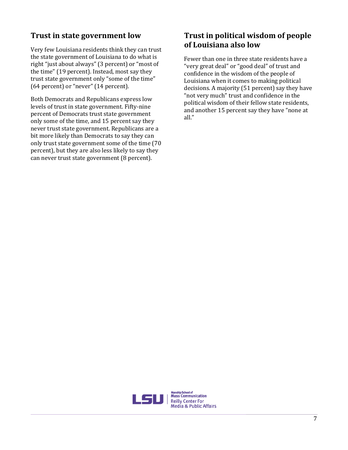## **Trust in state government low**

Very few Louisiana residents think they can trust the state government of Louisiana to do what is right "just about always" (3 percent) or "most of the time" (19 percent). Instead, most say they trust state government only "some of the time" (64 percent) or "never" (14 percent).

Both Democrats and Republicans express low levels of trust in state government. Fifty-nine percent of Democrats trust state government only some of the time, and 15 percent say they never trust state government. Republicans are a bit more likely than Democrats to say they can only trust state government some of the time (70 percent), but they are also less likely to say they can never trust state government (8 percent).

### **Trust in political wisdom of people of Louisiana also low**

Fewer than one in three state residents have a "very great deal" or "good deal" of trust and confidence in the wisdom of the people of Louisiana when it comes to making political decisions. A majority (51 percent) say they have "not very much" trust and confidence in the political wisdom of their fellow state residents, and another 15 percent say they have "none at all."

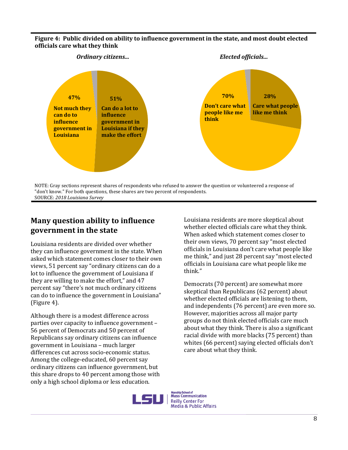#### **Figure 4: Public divided on ability to influence government in the state, and most doubt elected officials care what they think**



"don't know." For both questions, these shares are two percent of respondents. SOURCE: *2018 Louisiana Survey*

## **Many question ability to influence government in the state**

Louisiana residents are divided over whether they can influence government in the state. When asked which statement comes closer to their own views, 51 percent say "ordinary citizens can do a lot to influence the government of Louisiana if they are willing to make the effort," and 47 percent say "there's not much ordinary citizens can do to influence the government in Louisiana" (Figure 4).

Although there is a modest difference across parties over capacity to influence government – 56 percent of Democrats and 50 percent of Republicans say ordinary citizens can influence government in Louisiana – much larger differences cut across socio-economic status. Among the college-educated, 60 percent say ordinary citizens can influence government, but this share drops to 40 percent among those with only a high school diploma or less education.

Louisiana residents are more skeptical about whether elected officials care what they think. When asked which statement comes closer to their own views, 70 percent say "most elected officials in Louisiana don't care what people like me think," and just 28 percent say "most elected officials in Louisiana care what people like me think."

Democrats (70 percent) are somewhat more skeptical than Republicans (62 percent) about whether elected officials are listening to them, and independents (76 percent) are even more so. However, majorities across all major party groups do not think elected officials care much about what they think. There is also a significant racial divide with more blacks (75 percent) than whites (66 percent) saying elected officials don't care about what they think.

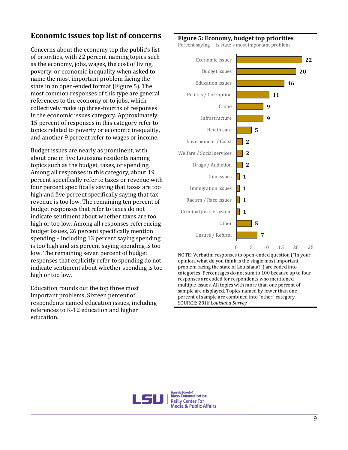## **Economic issues top list of concerns**

Concerns about the economy top the public's list of priorities, with 22 percent naming topics such as the economy, jobs, wages, the cost of living, poverty, or economic inequality when asked to name the most important problem facing the state in an open-ended format (Figure 5). The most common responses of this type are general references to the economy or to jobs, which collectively make up three-fourths of responses in the economic issues category. Approximately 15 percent of responses in this category refer to topics related to poverty or economic inequality, and another 9 percent refer to wages or income.

Budget issues are nearly as prominent, with about one in five Louisiana residents naming topics such as the budget, taxes, or spending. Among all responses in this category, about 19 percent specifically refer to taxes or revenue with four percent specifically saying that taxes are too high and five percent specifically saying that tax revenue is too low. The remaining ten percent of budget responses that refer to taxes do not indicate sentiment about whether taxes are too high or too low. Among all responses referencing budget issues, 26 percent specifically mention spending – including 13 percent saying spending is too high and six percent saying spending is too low. The remaining seven percent of budget responses that explicitly refer to spending do not indicate sentiment about whether spending is too high or too low.

Education rounds out the top three most important problems. Sixteen percent of respondents named education issues, including references to K-12 education and higher education.

#### **Figure 5: Economy, budget top priorities**

Percent saying is state's most important problem



NOTE: Verbatim responses to open-ended question ("In your opinion, what do you think is the single most important problem facing the state of Louisiana?") are coded into categories. Percentages do not sum to 100 because up to four responses are coded for respondents who mentioned multiple issues. All topics with more than one percent of sample are displayed. Topics named by fewer than one percent of sample are combined into "other" category. SOURCE: *2018 Louisiana Survey*

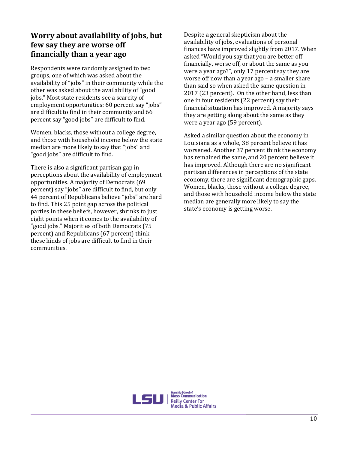## **Worry about availability of jobs, but few say they are worse off financially than a year ago**

Respondents were randomly assigned to two groups, one of which was asked about the availability of "jobs" in their community while the other was asked about the availability of "good jobs." Most state residents see a scarcity of employment opportunities: 60 percent say "jobs" are difficult to find in their community and 66 percent say "good jobs" are difficult to find.

Women, blacks, those without a college degree, and those with household income below the state median are more likely to say that "jobs" and "good jobs" are difficult to find.

There is also a significant partisan gap in perceptions about the availability of employment opportunities. A majority of Democrats (69 percent) say "jobs" are difficult to find, but only 44 percent of Republicans believe "jobs" are hard to find. This 25 point gap across the political parties in these beliefs, however, shrinks to just eight points when it comes to the availability of "good jobs." Majorities of both Democrats (75 percent) and Republicans (67 percent) think these kinds of jobs are difficult to find in their communities.

Despite a general skepticism about the availability of jobs, evaluations of personal finances have improved slightly from 2017. When asked "Would you say that you are better off financially, worse off, or about the same as you were a year ago?", only 17 percent say they are worse off now than a year ago – a smaller share than said so when asked the same question in 2017 (23 percent). On the other hand, less than one in four residents (22 percent) say their financial situation has improved. A majority says they are getting along about the same as they were a year ago (59 percent).

Asked a similar question about the economy in Louisiana as a whole, 38 percent believe it has worsened. Another 37 percent think the economy has remained the same, and 20 percent believe it has improved. Although there are no significant partisan differences in perceptions of the state economy, there are significant demographic gaps. Women, blacks, those without a college degree, and those with household income below the state median are generally more likely to say the state's economy is getting worse.

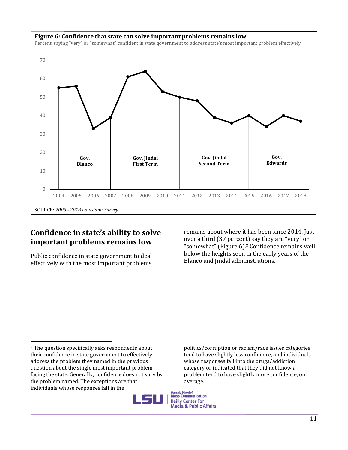#### **Figure 6: Confidence that state can solve important problems remains low**

Percent saying "very" or "somewhat" confident in state government to address state's most important problem effectively



### **Confidence in state's ability to solve important problems remains low**

Public confidence in state government to deal effectively with the most important problems remains about where it has been since 2014. Just over a third (37 percent) say they are "very" or "somewhat" (Figure 6).<sup>2</sup> Confidence remains well below the heights seen in the early years of the Blanco and Jindal administrations.

politics/corruption or racism/race issues categories tend to have slightly less confidence, and individuals whose responses fall into the drugs/addiction category or indicated that they did not know a problem tend to have slightly more confidence, on average.



 $\overline{\phantom{0}}$ <sup>2</sup> The question specifically asks respondents about their confidence in state government to effectively address the problem they named in the previous question about the single most important problem facing the state. Generally, confidence does not vary by the problem named. The exceptions are that individuals whose responses fall in the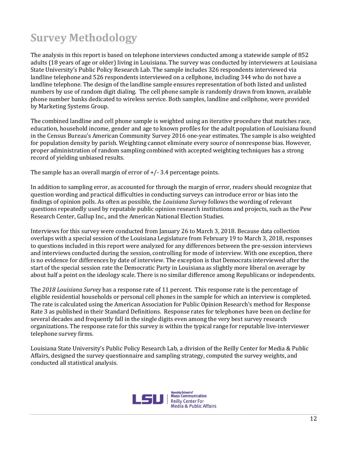# **Survey Methodology**

The analysis in this report is based on telephone interviews conducted among a statewide sample of 852 adults (18 years of age or older) living in Louisiana. The survey was conducted by interviewers at Louisiana State University's Public Policy Research Lab. The sample includes 326 respondents interviewed via landline telephone and 526 respondents interviewed on a cellphone, including 344 who do not have a landline telephone. The design of the landline sample ensures representation of both listed and unlisted numbers by use of random digit dialing. The cell phone sample is randomly drawn from known, available phone number banks dedicated to wireless service. Both samples, landline and cellphone, were provided by Marketing Systems Group.

The combined landline and cell phone sample is weighted using an iterative procedure that matches race, education, household income, gender and age to known profiles for the adult population of Louisiana found in the Census Bureau's American Community Survey 2016 one-year estimates. The sample is also weighted for population density by parish. Weighting cannot eliminate every source of nonresponse bias. However, proper administration of random sampling combined with accepted weighting techniques has a strong record of yielding unbiased results.

The sample has an overall margin of error of  $+/- 3.4$  percentage points.

In addition to sampling error, as accounted for through the margin of error, readers should recognize that question wording and practical difficulties in conducting surveys can introduce error or bias into the findings of opinion polls. As often as possible, the *Louisiana Survey* follows the wording of relevant questions repeatedly used by reputable public opinion research institutions and projects, such as the Pew Research Center, Gallup Inc., and the American National Election Studies.

Interviews for this survey were conducted from January 26 to March 3, 2018. Because data collection overlaps with a special session of the Louisiana Legislature from February 19 to March 3, 2018, responses to questions included in this report were analyzed for any differences between the pre-session interviews and interviews conducted during the session, controlling for mode of interview. With one exception, there is no evidence for differences by date of interview. The exception is that Democrats interviewed after the start of the special session rate the Democratic Party in Louisiana as slightly more liberal on average by about half a point on the ideology scale. There is no similar difference among Republicans or independents.

The *2018 Louisiana Survey* has a response rate of 11 percent. This response rate is the percentage of eligible residential households or personal cell phones in the sample for which an interview is completed. The rate is calculated using the American Association for Public Opinion Research's method for Response Rate 3 as published in their Standard Definitions. Response rates for telephones have been on decline for several decades and frequently fall in the single digits even among the very best survey research organizations. The response rate for this survey is within the typical range for reputable live-interviewer telephone survey firms.

Louisiana State University's Public Policy Research Lab, a division of the Reilly Center for Media & Public Affairs, designed the survey questionnaire and sampling strategy, computed the survey weights, and conducted all statistical analysis.

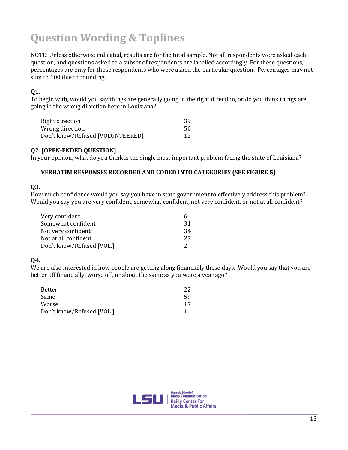# **Question Wording & Toplines**

NOTE: Unless otherwise indicated, results are for the total sample. Not all respondents were asked each question, and questions asked to a subset of respondents are labelled accordingly. For these questions, percentages are only for those respondents who were asked the particular question. Percentages may not sum to 100 due to rounding.

#### **Q1.**

To begin with, would you say things are generally going in the right direction, or do you think things are going in the wrong direction here in Louisiana?

| Right direction                  | 39 |
|----------------------------------|----|
| Wrong direction                  | 50 |
| Don't know/Refused [VOLUNTEERED] | 12 |

#### **Q2. [OPEN-ENDED QUESTION]**

In your opinion, what do you think is the single most important problem facing the state of Louisiana?

#### **VERBATIM RESPONSES RECORDED AND CODED INTO CATEGORIES (SEE FIGURE 5)**

#### **Q3.**

How much confidence would you say you have in state government to effectively address this problem? Would you say you are very confident, somewhat confident, not very confident, or not at all confident?

| Very confident            | h  |
|---------------------------|----|
| Somewhat confident        | 31 |
| Not very confident        | 34 |
| Not at all confident      | 27 |
| Don't know/Refused [VOL.] |    |

#### **Q4.**

We are also interested in how people are getting along financially these days. Would you say that you are better off financially, worse off, or about the same as you were a year ago?

| Better                    | 22 |
|---------------------------|----|
| Same                      | 59 |
| Worse                     | 17 |
| Don't know/Refused [VOL.] |    |

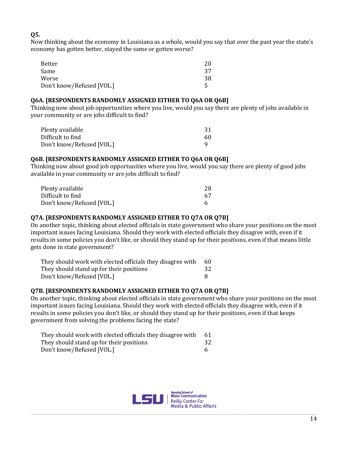#### **Q5.**

Now thinking about the economy in Louisiana as a whole, would you say that over the past year the state's economy has gotten better, stayed the same or gotten worse?

| Better                    | 20 |
|---------------------------|----|
| Same                      | 37 |
| Worse                     | 38 |
| Don't know/Refused [VOL.] |    |

#### **Q6A. [RESPONDENTS RANDOMLY ASSIGNED EITHER TO Q6A OR Q6B]**

Thinking now about job opportunities where you live, would you say there are plenty of jobs available in your community or are jobs difficult to find?

| Plenty available                               | 31 |
|------------------------------------------------|----|
| Difficult to find<br>Don't know/Refused [VOL.] | 60 |
|                                                |    |

#### **Q6B. [RESPONDENTS RANDOMLY ASSIGNED EITHER TO Q6A OR Q6B]**

Thinking now about good job opportunities where you live, would you say there are plenty of good jobs available in your community or are jobs difficult to find?

| Plenty available          | 28 |  |
|---------------------------|----|--|
| Difficult to find         | 67 |  |
| Don't know/Refused [VOL.] |    |  |

#### **Q7A. [RESPONDENTS RANDOMLY ASSIGNED EITHER TO Q7A OR Q7B]**

On another topic, thinking about elected officials in state government who share your positions on the most important issues facing Louisiana. Should they work with elected officials they disagree with, even if it results in some policies you don't like, or should they stand up for their positions, even if that means little gets done in state government?

| They should work with elected officials they disagree with | 60 |
|------------------------------------------------------------|----|
| They should stand up for their positions                   | 32 |
| Don't know/Refused [VOL.]                                  |    |

#### **Q7B. [RESPONDENTS RANDOMLY ASSIGNED EITHER TO Q7A OR Q7B]**

On another topic, thinking about elected officials in state government who share your positions on the most important issues facing Louisiana. Should they work with elected officials they disagree with, even if it results in some policies you don't like, or should they stand up for their positions, even if that keeps government from solving the problems facing the state?

| They should work with elected officials they disagree with | 61 |
|------------------------------------------------------------|----|
| They should stand up for their positions                   | 32 |
| Don't know/Refused [VOL.]                                  |    |

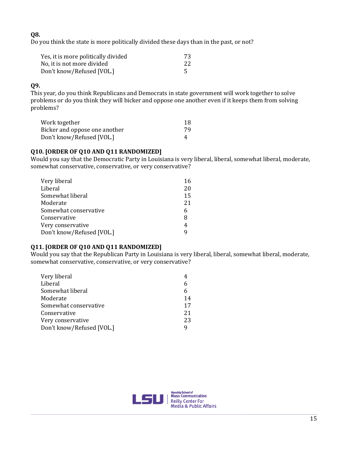#### **Q8.**

Do you think the state is more politically divided these days than in the past, or not?

| Yes, it is more politically divided | 73 |  |
|-------------------------------------|----|--|
| No, it is not more divided          | 22 |  |
| Don't know/Refused [VOL.]           |    |  |

#### **Q9.**

This year, do you think Republicans and Democrats in state government will work together to solve problems or do you think they will bicker and oppose one another even if it keeps them from solving problems?

| Work together                 | 18 |
|-------------------------------|----|
| Bicker and oppose one another | 79 |
| Don't know/Refused [VOL.]     | 4  |

#### **Q10. [ORDER OF Q10 AND Q11 RANDOMIZED]**

Would you say that the Democratic Party in Louisiana is very liberal, liberal, somewhat liberal, moderate, somewhat conservative, conservative, or very conservative?

| Very liberal              | 16 |
|---------------------------|----|
| Liberal                   | 20 |
| Somewhat liberal          | 15 |
| Moderate                  | 21 |
| Somewhat conservative     | 6  |
| Conservative              | 8  |
| Very conservative         | 4  |
| Don't know/Refused [VOL.] | q  |

#### **Q11. [ORDER OF Q10 AND Q11 RANDOMIZED]**

Would you say that the Republican Party in Louisiana is very liberal, liberal, somewhat liberal, moderate, somewhat conservative, conservative, or very conservative?

| Very liberal              |    |
|---------------------------|----|
| Liberal                   |    |
| Somewhat liberal          |    |
| Moderate                  | 14 |
| Somewhat conservative     | 17 |
| Conservative              | 21 |
| Very conservative         | 23 |
| Don't know/Refused [VOL.] |    |

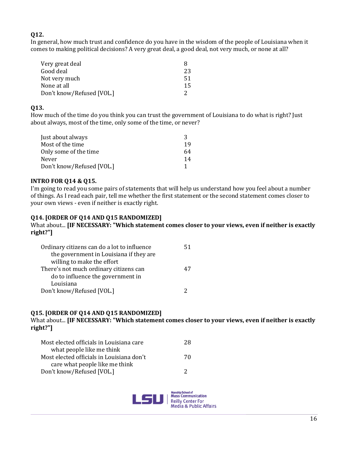#### **Q12.**

In general, how much trust and confidence do you have in the wisdom of the people of Louisiana when it comes to making political decisions? A very great deal, a good deal, not very much, or none at all?

| Very great deal           | x  |
|---------------------------|----|
| Good deal                 | 23 |
| Not very much             | 51 |
| None at all               | 15 |
| Don't know/Refused [VOL.] |    |

#### **Q13.**

How much of the time do you think you can trust the government of Louisiana to do what is right? Just about always, most of the time, only some of the time, or never?

| Just about always         | 2   |
|---------------------------|-----|
| Most of the time          | 19  |
| Only some of the time     | 64. |
| Never                     | 14  |
| Don't know/Refused [VOL.] |     |

#### **INTRO FOR Q14 & Q15.**

I'm going to read you some pairs of statements that will help us understand how you feel about a number of things. As I read each pair, tell me whether the first statement or the second statement comes closer to your own views - even if neither is exactly right.

#### **Q14. [ORDER OF Q14 AND Q15 RANDOMIZED]**

What about... **[IF NECESSARY: "Which statement comes closer to your views, even if neither is exactly right?"]**

| Ordinary citizens can do a lot to influence | 51 |
|---------------------------------------------|----|
| the government in Louisiana if they are     |    |
| willing to make the effort                  |    |
| There's not much ordinary citizens can      |    |
| do to influence the government in           |    |
| Louisiana                                   |    |
| Don't know/Refused [VOL.]                   |    |

#### **Q15. [ORDER OF Q14 AND Q15 RANDOMIZED]**

What about... **[IF NECESSARY: "Which statement comes closer to your views, even if neither is exactly right?"]**

| 28. |
|-----|
|     |
| 70. |
|     |
| 2   |
|     |

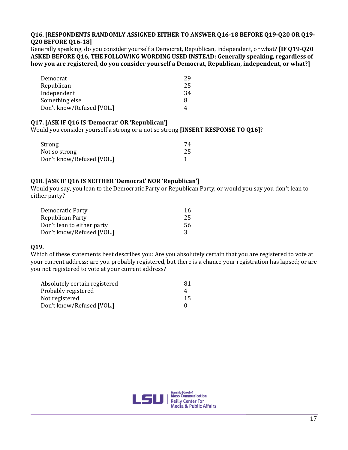#### **Q16. [RESPONDENTS RANDOMLY ASSIGNED EITHER TO ANSWER Q16-18 BEFORE Q19-Q20 OR Q19- Q20 BEFORE Q16-18]**

Generally speaking, do you consider yourself a Democrat, Republican, independent, or what? **[IF Q19-Q20 ASKED BEFORE Q16, THE FOLLOWING WORDING USED INSTEAD: Generally speaking, regardless of how you are registered, do you consider yourself a Democrat, Republican, independent, or what?]**

| Democrat                  | 29 |
|---------------------------|----|
| Republican                | 25 |
| Independent               | 34 |
| Something else            | 8  |
| Don't know/Refused [VOL.] | 4  |

#### **Q17. [ASK IF Q16 IS 'Democrat' OR 'Republican']**

Would you consider yourself a strong or a not so strong **[INSERT RESPONSE TO Q16]**?

| Strong                    | 74  |
|---------------------------|-----|
| Not so strong             | -25 |
| Don't know/Refused [VOL.] |     |

#### **Q18. [ASK IF Q16 IS NEITHER 'Democrat' NOR 'Republican']**

Would you say, you lean to the Democratic Party or Republican Party, or would you say you don't lean to either party?

| Democratic Party           | 16 |
|----------------------------|----|
| Republican Party           | 25 |
| Don't lean to either party | 56 |
| Don't know/Refused [VOL.]  |    |

#### **Q19.**

Which of these statements best describes you: Are you absolutely certain that you are registered to vote at your current address; are you probably registered, but there is a chance your registration has lapsed; or are you not registered to vote at your current address?

| Absolutely certain registered | 81 |
|-------------------------------|----|
| Probably registered           |    |
| Not registered                | 15 |
| Don't know/Refused [VOL.]     |    |